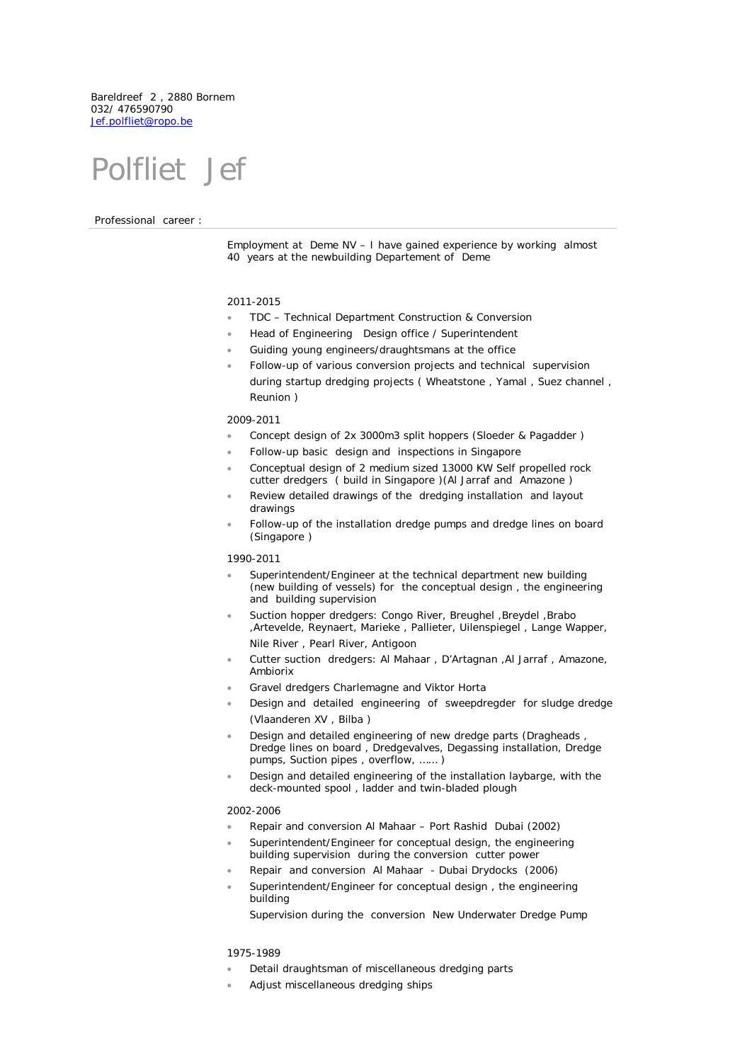Bareldreef 2 , 2880 Bornem 032/ 476590790 [Jef.polfliet@ropo.be](mailto:Jef.polfliet@ropo.be)

# Polfliet Jef

Professional career :

Employment at Deme NV – I have gained experience by working almost 40 years at the newbuilding Departement of Deme

## 2011-2015

- TDC Technical Department Construction & Conversion
- Head of Engineering Design office / Superintendent
- Guiding young engineers/draughtsmans at the office
- Follow-up of various conversion projects and technical supervision during startup dredging projects ( Wheatstone , Yamal , Suez channel , Reunion )

# 2009-2011

- Concept design of 2x 3000m3 split hoppers (Sloeder & Pagadder)
- Follow-up basic design and inspections in Singapore
- Conceptual design of 2 medium sized 13000 KW Self propelled rock cutter dredgers ( build in Singapore )(Al Jarraf and Amazone )
- Review detailed drawings of the dredging installation and layout drawings
- Follow-up of the installation dredge pumps and dredge lines on board (Singapore )

#### 1990-2011

- Superintendent/Engineer at the technical department new building (new building of vessels) for the conceptual design , the engineering and building supervision
- Suction hopper dredgers: Congo River, Breughel ,Breydel ,Brabo ,Artevelde, Reynaert, Marieke , Pallieter, Uilenspiegel , Lange Wapper, Nile River , Pearl River, Antigoon
- Cutter suction dredgers: Al Mahaar , D'Artagnan ,Al Jarraf , Amazone, Ambiorix
- Gravel dredgers Charlemagne and Viktor Horta
- Design and detailed engineering of sweepdregder for sludge dredge (Vlaanderen XV , Bilba )
- Design and detailed engineering of new dredge parts (Dragheads , Dredge lines on board , Dredgevalves, Degassing installation, Dredge pumps, Suction pipes , overflow, …… )
- Design and detailed engineering of the installation laybarge, with the deck-mounted spool , ladder and twin-bladed plough

## 2002-2006

- Repair and conversion Al Mahaar Port Rashid Dubai (2002)
- Superintendent/Engineer for conceptual design, the engineering building supervision during the conversion cutter power
- Repair and conversion Al Mahaar Dubai Drydocks (2006)
- Superintendent/Engineer for conceptual design, the engineering building

Supervision during the conversion New Underwater Dredge Pump

#### 1975-1989

- Detail draughtsman of miscellaneous dredging parts
- Adjust miscellaneous dredging ships